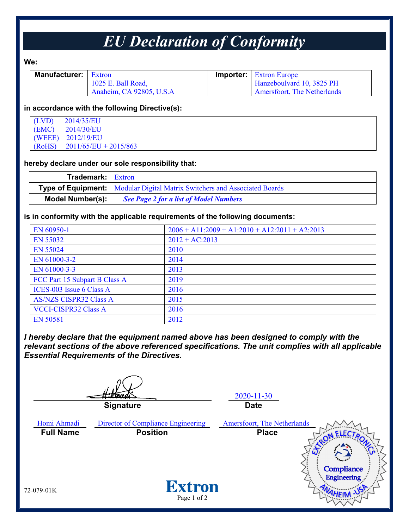# *EU Declaration of Conformity*

**We:**

| <b>Manufacturer:</b>   Extron |                          | <b>Importer:</b> Extron Europe |
|-------------------------------|--------------------------|--------------------------------|
|                               | 1025 E. Ball Road,       | Hanzeboulvard 10, 3825 PH      |
|                               | Anaheim, CA 92805, U.S.A | Amersfoort, The Netherlands    |

#### **in accordance with the following Directive(s):**

| $(LVD)$ 2014/35/EU             |
|--------------------------------|
| $(EMC)$ 2014/30/EU             |
| (WEEE) 2012/19/EU              |
| $(RoHS)$ 2011/65/EU + 2015/863 |

### **hereby declare under our sole responsibility that:**

| <b>Trademark:</b> Extron |                                                                                    |
|--------------------------|------------------------------------------------------------------------------------|
|                          | <b>Type of Equipment:</b>   Modular Digital Matrix Switchers and Associated Boards |
| Model Number(s):         | <b>See Page 2 for a list of Model Numbers</b>                                      |

## **is in conformity with the applicable requirements of the following documents:**

| EN 60950-1                    | $2006 + A11:2009 + A1:2010 + A12:2011 + A2:2013$ |
|-------------------------------|--------------------------------------------------|
| EN 55032                      | $2012 + AC:2013$                                 |
| <b>EN 55024</b>               | 2010                                             |
| EN 61000-3-2                  | 2014                                             |
| EN 61000-3-3                  | 2013                                             |
| FCC Part 15 Subpart B Class A | 2019                                             |
| ICES-003 Issue 6 Class A      | 2016                                             |
| <b>AS/NZS CISPR32 Class A</b> | 2015                                             |
| <b>VCCI-CISPR32 Class A</b>   | 2016                                             |
| <b>EN 50581</b>               | 2012                                             |

*I hereby declare that the equipment named above has been designed to comply with the relevant sections of the above referenced specifications. The unit complies with all applicable Essential Requirements of the Directives.*

2020-11-30 **Signature Date** Homi Ahmadi Director of Compliance Engineering Amersfoort, The Netherlands **Full Name Position Place**Compliance **Engineering Extron** 72-079-01K Page 1 of 2